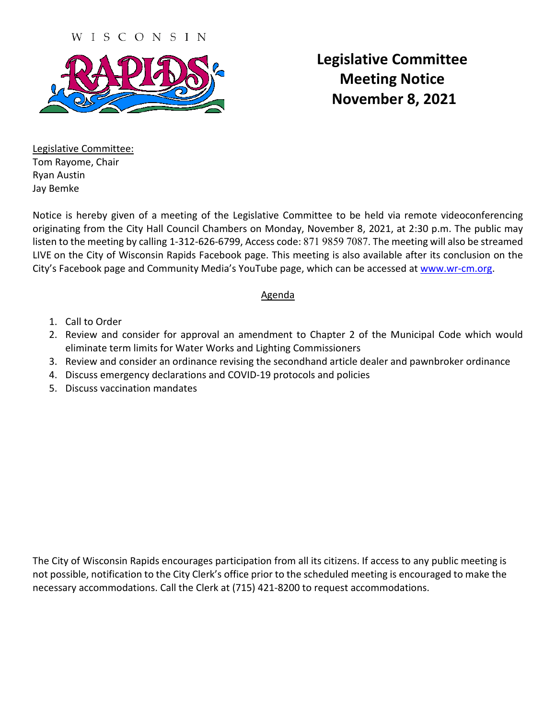WISCONSIN



**Legislative Committee Meeting Notice November 8, 2021**

Legislative Committee: Tom Rayome, Chair Ryan Austin Jay Bemke

Notice is hereby given of a meeting of the Legislative Committee to be held via remote videoconferencing originating from the City Hall Council Chambers on Monday, November 8, 2021, at 2:30 p.m. The public may listen to the meeting by calling 1-312-626-6799, Access code: 871 9859 7087. The meeting will also be streamed LIVE on the City of Wisconsin Rapids Facebook page. This meeting is also available after its conclusion on the City's Facebook page and Community Media's YouTube page, which can be accessed at [www.wr-cm.org.](http://www.wr-cm.org/)

# Agenda

- 1. Call to Order
- 2. Review and consider for approval an amendment to Chapter 2 of the Municipal Code which would eliminate term limits for Water Works and Lighting Commissioners
- 3. Review and consider an ordinance revising the secondhand article dealer and pawnbroker ordinance
- 4. Discuss emergency declarations and COVID-19 protocols and policies
- 5. Discuss vaccination mandates

The City of Wisconsin Rapids encourages participation from all its citizens. If access to any public meeting is not possible, notification to the City Clerk's office prior to the scheduled meeting is encouraged to make the necessary accommodations. Call the Clerk at (715) 421-8200 to request accommodations.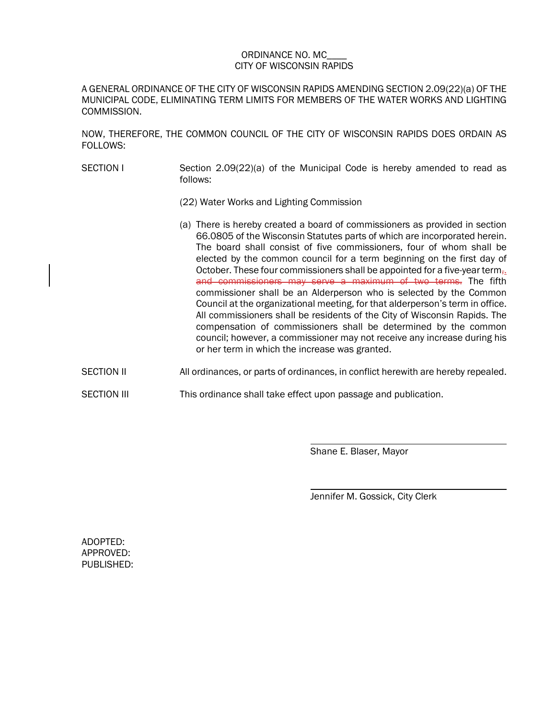#### ORDINANCE NO. MC\_\_\_\_ CITY OF WISCONSIN RAPIDS

A GENERAL ORDINANCE OF THE CITY OF WISCONSIN RAPIDS AMENDING SECTION 2.09(22)(a) OF THE MUNICIPAL CODE, ELIMINATING TERM LIMITS FOR MEMBERS OF THE WATER WORKS AND LIGHTING COMMISSION.

NOW, THEREFORE, THE COMMON COUNCIL OF THE CITY OF WISCONSIN RAPIDS DOES ORDAIN AS FOLLOWS:

- SECTION I Section 2.09(22)(a) of the Municipal Code is hereby amended to read as follows:
	- (22) Water Works and Lighting Commission
	- (a) There is hereby created a board of commissioners as provided in section 66.0805 of the Wisconsin Statutes parts of which are incorporated herein. The board shall consist of five commissioners, four of whom shall be elected by the common council for a term beginning on the first day of October. These four commissioners shall be appointed for a five-year term $_{7}$ . and commissioners may serve a maximum of two terms. The fifth commissioner shall be an Alderperson who is selected by the Common Council at the organizational meeting, for that alderperson's term in office. All commissioners shall be residents of the City of Wisconsin Rapids. The compensation of commissioners shall be determined by the common council; however, a commissioner may not receive any increase during his or her term in which the increase was granted.
- SECTION II All ordinances, or parts of ordinances, in conflict herewith are hereby repealed.
- SECTION III This ordinance shall take effect upon passage and publication.

Shane E. Blaser, Mayor

Jennifer M. Gossick, City Clerk

ADOPTED: APPROVED: PUBLISHED: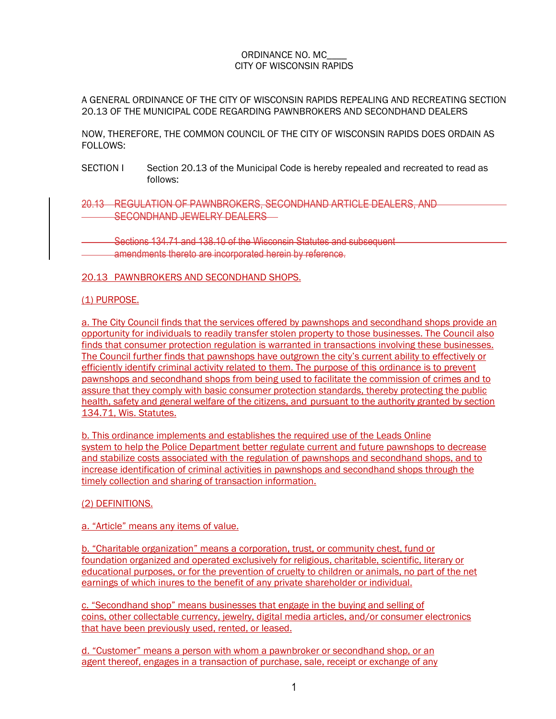### ORDINANCE NO. MC\_\_\_\_ CITY OF WISCONSIN RAPIDS

A GENERAL ORDINANCE OF THE CITY OF WISCONSIN RAPIDS REPEALING AND RECREATING SECTION 20.13 OF THE MUNICIPAL CODE REGARDING PAWNBROKERS AND SECONDHAND DEALERS

NOW, THEREFORE, THE COMMON COUNCIL OF THE CITY OF WISCONSIN RAPIDS DOES ORDAIN AS FOLLOWS:

- SECTION I Section 20.13 of the Municipal Code is hereby repealed and recreated to read as follows:
- 20.13 REGULATION OF PAWNBROKERS, SECONDHAND ARTICLE DEALERS, AND SECONDHAND JEWELRY DEALERS
- Sections 134.71 and 138.10 of the Wisconsin Statutes and subsequent amendments thereto are incorporated herein by reference.

### 20.13 PAWNBROKERS AND SECONDHAND SHOPS.

#### (1) PURPOSE.

a. The City Council finds that the services offered by pawnshops and secondhand shops provide an opportunity for individuals to readily transfer stolen property to those businesses. The Council also finds that consumer protection regulation is warranted in transactions involving these businesses. The Council further finds that pawnshops have outgrown the city's current ability to effectively or efficiently identify criminal activity related to them. The purpose of this ordinance is to prevent pawnshops and secondhand shops from being used to facilitate the commission of crimes and to assure that they comply with basic consumer protection standards, thereby protecting the public health, safety and general welfare of the citizens, and pursuant to the authority granted by section 134.71, Wis. Statutes.

b. This ordinance implements and establishes the required use of the Leads Online system to help the Police Department better regulate current and future pawnshops to decrease and stabilize costs associated with the regulation of pawnshops and secondhand shops, and to increase identification of criminal activities in pawnshops and secondhand shops through the timely collection and sharing of transaction information.

#### (2) DEFINITIONS.

#### a. "Article" means any items of value.

b. "Charitable organization" means a corporation, trust, or community chest, fund or foundation organized and operated exclusively for religious, charitable, scientific, literary or educational purposes, or for the prevention of cruelty to children or animals, no part of the net earnings of which inures to the benefit of any private shareholder or individual.

c. "Secondhand shop" means businesses that engage in the buying and selling of coins, other collectable currency, jewelry, digital media articles, and/or consumer electronics that have been previously used, rented, or leased.

d. "Customer" means a person with whom a pawnbroker or secondhand shop, or an agent thereof, engages in a transaction of purchase, sale, receipt or exchange of any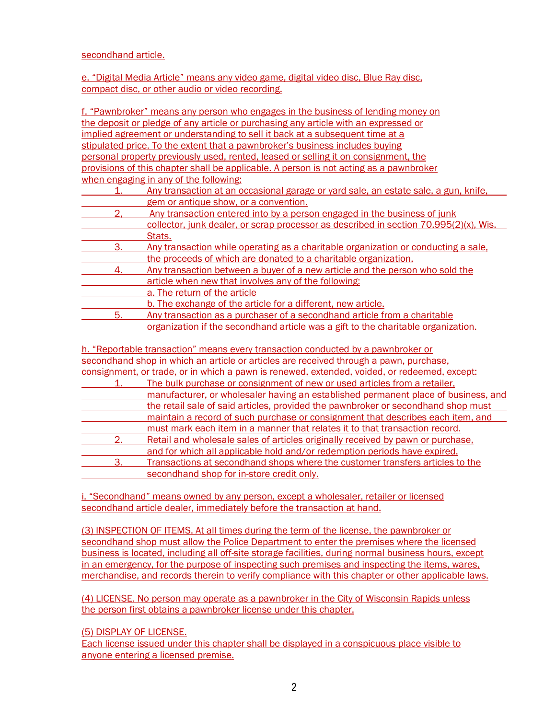#### secondhand article.

e. "Digital Media Article" means any video game, digital video disc, Blue Ray disc, compact disc, or other audio or video recording.

f. "Pawnbroker" means any person who engages in the business of lending money on the deposit or pledge of any article or purchasing any article with an expressed or implied agreement or understanding to sell it back at a subsequent time at a stipulated price. To the extent that a pawnbroker's business includes buying personal property previously used, rented, leased or selling it on consignment, the provisions of this chapter shall be applicable. A person is not acting as a pawnbroker when engaging in any of the following:

|    | Any transaction at an occasional garage or yard sale, an estate sale, a gun, knife,   |
|----|---------------------------------------------------------------------------------------|
|    | gem or antique show, or a convention.                                                 |
|    | Any transaction entered into by a person engaged in the business of junk              |
|    | collector, junk dealer, or scrap processor as described in section 70.995(2)(x), Wis. |
|    | Stats.                                                                                |
| 3. | Any transaction while operating as a charitable organization or conducting a sale.    |
|    | the proceeds of which are donated to a charitable organization.                       |
| 4  | Any transaction between a buyer of a new article and the person who sold the          |
|    | article when new that involves any of the following:                                  |
|    | a. The return of the article                                                          |
|    | b. The exchange of the article for a different, new article.                          |
| 5. | Any transaction as a purchaser of a secondhand article from a charitable              |
|    | organization if the secondhand article was a gift to the charitable organization.     |

h. "Reportable transaction" means every transaction conducted by a pawnbroker or secondhand shop in which an article or articles are received through a pawn, purchase, consignment, or trade, or in which a pawn is renewed, extended, voided, or redeemed, except:

|    | The bulk purchase or consignment of new or used articles from a retailer.          |
|----|------------------------------------------------------------------------------------|
|    | manufacturer, or wholesaler having an established permanent place of business, and |
|    | the retail sale of said articles, provided the pawnbroker or secondhand shop must  |
|    | maintain a record of such purchase or consignment that describes each item, and    |
|    | must mark each item in a manner that relates it to that transaction record.        |
| 2. | Retail and wholesale sales of articles originally received by pawn or purchase.    |
|    | and for which all applicable hold and/or redemption periods have expired.          |
| 3. | Transactions at secondhand shops where the customer transfers articles to the      |
|    | secondhand shop for in-store credit only.                                          |

i. "Secondhand" means owned by any person, except a wholesaler, retailer or licensed secondhand article dealer, immediately before the transaction at hand.

(3) INSPECTION OF ITEMS. At all times during the term of the license, the pawnbroker or secondhand shop must allow the Police Department to enter the premises where the licensed business is located, including all off-site storage facilities, during normal business hours, except in an emergency, for the purpose of inspecting such premises and inspecting the items, wares, merchandise, and records therein to verify compliance with this chapter or other applicable laws.

(4) LICENSE. No person may operate as a pawnbroker in the City of Wisconsin Rapids unless the person first obtains a pawnbroker license under this chapter.

(5) DISPLAY OF LICENSE.

Each license issued under this chapter shall be displayed in a conspicuous place visible to anyone entering a licensed premise.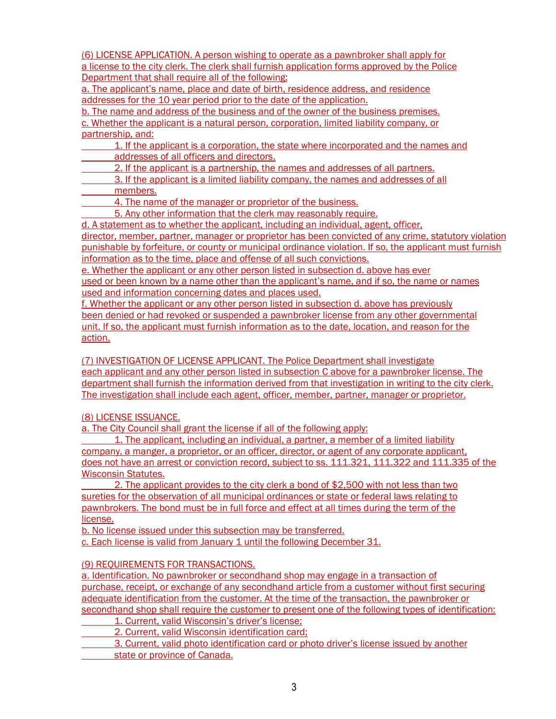(6) LICENSE APPLICATION. A person wishing to operate as a pawnbroker shall apply for a license to the city clerk. The clerk shall furnish application forms approved by the Police Department that shall require all of the following:

a. The applicant's name, place and date of birth, residence address, and residence addresses for the 10 year period prior to the date of the application.

b. The name and address of the business and of the owner of the business premises. c. Whether the applicant is a natural person, corporation, limited liability company, or partnership, and:

1. If the applicant is a corporation, the state where incorporated and the names and addresses of all officers and directors.

2. If the applicant is a partnership, the names and addresses of all partners.

3. If the applicant is a limited liability company, the names and addresses of all members.

4. The name of the manager or proprietor of the business.

5. Any other information that the clerk may reasonably require.

d. A statement as to whether the applicant, including an individual, agent, officer, director, member, partner, manager or proprietor has been convicted of any crime, statutory violation punishable by forfeiture, or county or municipal ordinance violation. If so, the applicant must furnish

information as to the time, place and offense of all such convictions.

e. Whether the applicant or any other person listed in subsection d. above has ever used or been known by a name other than the applicant's name, and if so, the name or names used and information concerning dates and places used.

f. Whether the applicant or any other person listed in subsection d. above has previously been denied or had revoked or suspended a pawnbroker license from any other governmental unit. If so, the applicant must furnish information as to the date, location, and reason for the action.

(7) INVESTIGATION OF LICENSE APPLICANT. The Police Department shall investigate each applicant and any other person listed in subsection C above for a pawnbroker license. The department shall furnish the information derived from that investigation in writing to the city clerk. The investigation shall include each agent, officer, member, partner, manager or proprietor.

(8) LICENSE ISSUANCE.

a. The City Council shall grant the license if all of the following apply:

1. The applicant, including an individual, a partner, a member of a limited liability company, a manger, a proprietor, or an officer, director, or agent of any corporate applicant, does not have an arrest or conviction record, subject to ss. 111.321, 111.322 and 111.335 of the Wisconsin Statutes.

2. The applicant provides to the city clerk a bond of \$2,500 with not less than two sureties for the observation of all municipal ordinances or state or federal laws relating to pawnbrokers. The bond must be in full force and effect at all times during the term of the license.

b. No license issued under this subsection may be transferred. c. Each license is valid from January 1 until the following December 31.

## (9) REQUIREMENTS FOR TRANSACTIONS.

a. Identification. No pawnbroker or secondhand shop may engage in a transaction of purchase, receipt, or exchange of any secondhand article from a customer without first securing adequate identification from the customer. At the time of the transaction, the pawnbroker or secondhand shop shall require the customer to present one of the following types of identification:

1. Current, valid Wisconsin's driver's license;

2. Current, valid Wisconsin identification card;

3. Current, valid photo identification card or photo driver's license issued by another state or province of Canada.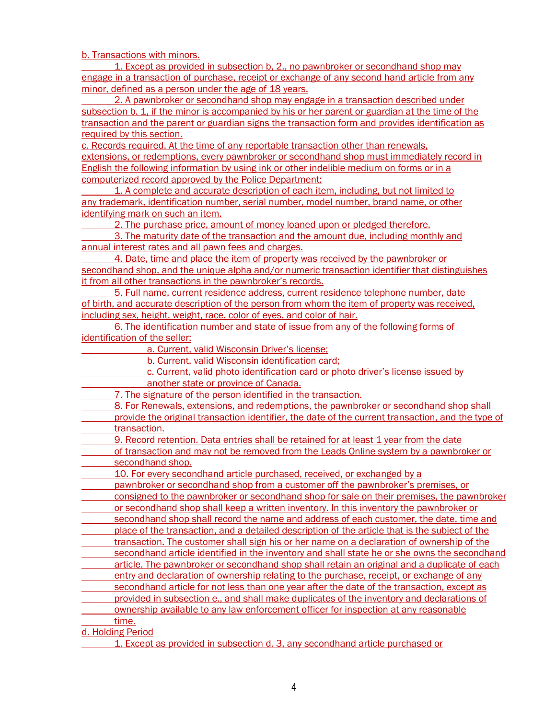b. Transactions with minors.

1. Except as provided in subsection b, 2., no pawnbroker or secondhand shop may engage in a transaction of purchase, receipt or exchange of any second hand article from any minor, defined as a person under the age of 18 years.

2. A pawnbroker or secondhand shop may engage in a transaction described under subsection b. 1, if the minor is accompanied by his or her parent or guardian at the time of the transaction and the parent or guardian signs the transaction form and provides identification as required by this section.

c. Records required. At the time of any reportable transaction other than renewals, extensions, or redemptions, every pawnbroker or secondhand shop must immediately record in English the following information by using ink or other indelible medium on forms or in a computerized record approved by the Police Department:

1. A complete and accurate description of each item, including, but not limited to any trademark, identification number, serial number, model number, brand name, or other identifying mark on such an item.

2. The purchase price, amount of money loaned upon or pledged therefore.

3. The maturity date of the transaction and the amount due, including monthly and annual interest rates and all pawn fees and charges.

4. Date, time and place the item of property was received by the pawnbroker or secondhand shop, and the unique alpha and/or numeric transaction identifier that distinguishes it from all other transactions in the pawnbroker's records.

5. Full name, current residence address, current residence telephone number, date of birth, and accurate description of the person from whom the item of property was received, including sex, height, weight, race, color of eyes, and color of hair.

6. The identification number and state of issue from any of the following forms of identification of the seller:

a. Current, valid Wisconsin Driver's license;

b. Current, valid Wisconsin identification card;

c. Current, valid photo identification card or photo driver's license issued by another state or province of Canada.

7. The signature of the person identified in the transaction.

- 8. For Renewals, extensions, and redemptions, the pawnbroker or secondhand shop shall provide the original transaction identifier, the date of the current transaction, and the type of transaction.
- 9. Record retention. Data entries shall be retained for at least 1 year from the date
- of transaction and may not be removed from the Leads Online system by a pawnbroker or secondhand shop.

10. For every secondhand article purchased, received, or exchanged by a

pawnbroker or secondhand shop from a customer off the pawnbroker's premises, or

consigned to the pawnbroker or secondhand shop for sale on their premises, the pawnbroker or secondhand shop shall keep a written inventory. In this inventory the pawnbroker or

secondhand shop shall record the name and address of each customer, the date, time and place of the transaction, and a detailed description of the article that is the subject of the

transaction. The customer shall sign his or her name on a declaration of ownership of the

secondhand article identified in the inventory and shall state he or she owns the secondhand

- article. The pawnbroker or secondhand shop shall retain an original and a duplicate of each entry and declaration of ownership relating to the purchase, receipt, or exchange of any
- secondhand article for not less than one year after the date of the transaction, except as
- provided in subsection e., and shall make duplicates of the inventory and declarations of ownership available to any law enforcement officer for inspection at any reasonable

time.

d. Holding Period

1. Except as provided in subsection d. 3, any secondhand article purchased or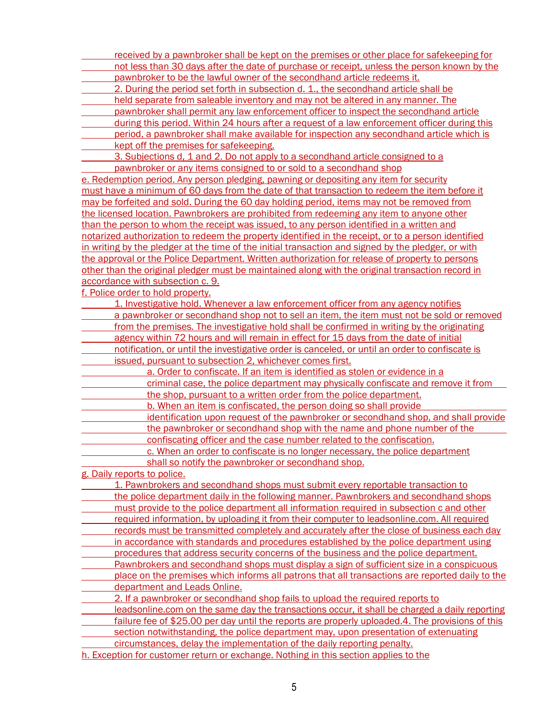- received by a pawnbroker shall be kept on the premises or other place for safekeeping for not less than 30 days after the date of purchase or receipt, unless the person known by the pawnbroker to be the lawful owner of the secondhand article redeems it.
- 2. During the period set forth in subsection d. 1., the secondhand article shall be
- held separate from saleable inventory and may not be altered in any manner. The
- pawnbroker shall permit any law enforcement officer to inspect the secondhand article
- during this period. Within 24 hours after a request of a law enforcement officer during this
- period, a pawnbroker shall make available for inspection any secondhand article which is kept off the premises for safekeeping.
- 3. Subjections d, 1 and 2. Do not apply to a secondhand article consigned to a pawnbroker or any items consigned to or sold to a secondhand shop

e. Redemption period. Any person pledging, pawning or depositing any item for security must have a minimum of 60 days from the date of that transaction to redeem the item before it may be forfeited and sold. During the 60 day holding period, items may not be removed from the licensed location. Pawnbrokers are prohibited from redeeming any item to anyone other than the person to whom the receipt was issued, to any person identified in a written and notarized authorization to redeem the property identified in the receipt, or to a person identified in writing by the pledger at the time of the initial transaction and signed by the pledger, or with the approval or the Police Department. Written authorization for release of property to persons other than the original pledger must be maintained along with the original transaction record in accordance with subsection c. 9.

f. Police order to hold property.

- 1. Investigative hold. Whenever a law enforcement officer from any agency notifies a pawnbroker or secondhand shop not to sell an item, the item must not be sold or removed from the premises. The investigative hold shall be confirmed in writing by the originating agency within 72 hours and will remain in effect for 15 days from the date of initial
- notification, or until the investigative order is canceled, or until an order to confiscate is issued, pursuant to subsection 2, whichever comes first.
	- a. Order to confiscate. If an item is identified as stolen or evidence in a criminal case, the police department may physically confiscate and remove it from
	- the shop, pursuant to a written order from the police department. b. When an item is confiscated, the person doing so shall provide
- 
- identification upon request of the pawnbroker or secondhand shop, and shall provide the pawnbroker or secondhand shop with the name and phone number of the
	- confiscating officer and the case number related to the confiscation.
		- c. When an order to confiscate is no longer necessary, the police department shall so notify the pawnbroker or secondhand shop.

g. Daily reports to police.

- 1. Pawnbrokers and secondhand shops must submit every reportable transaction to the police department daily in the following manner. Pawnbrokers and secondhand shops must provide to the police department all information required in subsection c and other required information, by uploading it from their computer to leadsonline.com. All required records must be transmitted completely and accurately after the close of business each day in accordance with standards and procedures established by the police department using procedures that address security concerns of the business and the police department. Pawnbrokers and secondhand shops must display a sign of sufficient size in a conspicuous place on the premises which informs all patrons that all transactions are reported daily to the department and Leads Online. 2. If a pawnbroker or secondhand shop fails to upload the required reports to leadsonline.com on the same day the transactions occur, it shall be charged a daily reporting
- failure fee of \$25.00 per day until the reports are properly uploaded.4. The provisions of this
- section notwithstanding, the police department may, upon presentation of extenuating
- circumstances, delay the implementation of the daily reporting penalty.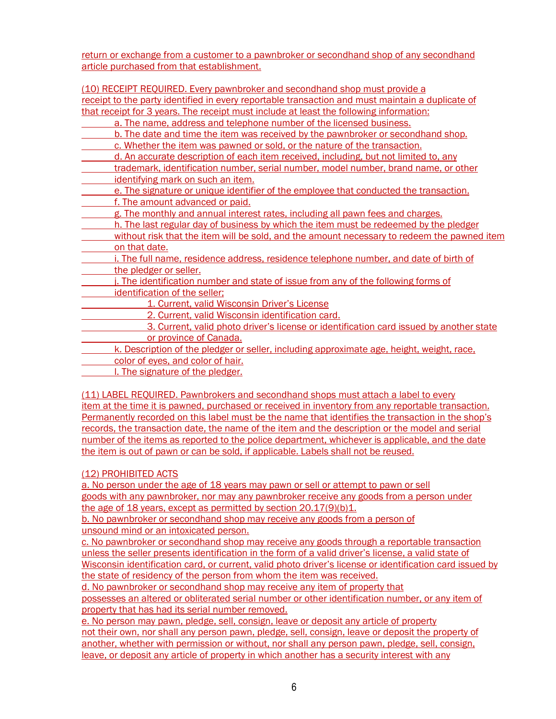return or exchange from a customer to a pawnbroker or secondhand shop of any secondhand article purchased from that establishment.

(10) RECEIPT REQUIRED. Every pawnbroker and secondhand shop must provide a receipt to the party identified in every reportable transaction and must maintain a duplicate of that receipt for 3 years. The receipt must include at least the following information: a. The name, address and telephone number of the licensed business. b. The date and time the item was received by the pawnbroker or secondhand shop. c. Whether the item was pawned or sold, or the nature of the transaction. d. An accurate description of each item received, including, but not limited to, any trademark, identification number, serial number, model number, brand name, or other identifying mark on such an item. e. The signature or unique identifier of the employee that conducted the transaction. f. The amount advanced or paid. g. The monthly and annual interest rates, including all pawn fees and charges. h. The last regular day of business by which the item must be redeemed by the pledger without risk that the item will be sold, and the amount necessary to redeem the pawned item on that date. i. The full name, residence address, residence telephone number, and date of birth of the pledger or seller. j. The identification number and state of issue from any of the following forms of identification of the seller; 1. Current, valid Wisconsin Driver's License 2. Current, valid Wisconsin identification card. 3. Current, valid photo driver's license or identification card issued by another state or province of Canada. k. Description of the pledger or seller, including approximate age, height, weight, race, color of eyes, and color of hair. l. The signature of the pledger.

(11) LABEL REQUIRED. Pawnbrokers and secondhand shops must attach a label to every item at the time it is pawned, purchased or received in inventory from any reportable transaction. Permanently recorded on this label must be the name that identifies the transaction in the shop's records, the transaction date, the name of the item and the description or the model and serial number of the items as reported to the police department, whichever is applicable, and the date the item is out of pawn or can be sold, if applicable. Labels shall not be reused.

## (12) PROHIBITED ACTS

a. No person under the age of 18 years may pawn or sell or attempt to pawn or sell goods with any pawnbroker, nor may any pawnbroker receive any goods from a person under the age of 18 years, except as permitted by section 20.17(9)(b)1.

b. No pawnbroker or secondhand shop may receive any goods from a person of unsound mind or an intoxicated person.

c. No pawnbroker or secondhand shop may receive any goods through a reportable transaction unless the seller presents identification in the form of a valid driver's license, a valid state of Wisconsin identification card, or current, valid photo driver's license or identification card issued by the state of residency of the person from whom the item was received.

d. No pawnbroker or secondhand shop may receive any item of property that possesses an altered or obliterated serial number or other identification number, or any item of property that has had its serial number removed.

e. No person may pawn, pledge, sell, consign, leave or deposit any article of property not their own, nor shall any person pawn, pledge, sell, consign, leave or deposit the property of another, whether with permission or without, nor shall any person pawn, pledge, sell, consign, leave, or deposit any article of property in which another has a security interest with any